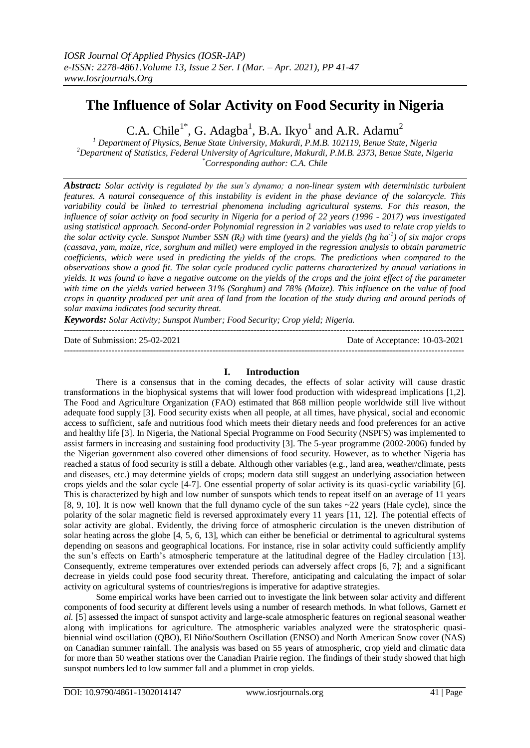# **The Influence of Solar Activity on Food Security in Nigeria**

C.A. Chile<sup>1\*</sup>, G. Adagba<sup>1</sup>, B.A. Ikyo<sup>1</sup> and A.R. Adamu<sup>2</sup>

*<sup>1</sup> Department of Physics, Benue State University, Makurdi, P.M.B. 102119, Benue State, Nigeria <sup>2</sup>Department of Statistics, Federal University of Agriculture, Makurdi, P.M.B. 2373, Benue State, Nigeria \*Corresponding author: C.A. Chile*

*Abstract: Solar activity is regulated by the sun's dynamo; a non-linear system with deterministic turbulent features. A natural consequence of this instability is evident in the phase deviance of the solarcycle. This variability could be linked to terrestrial phenomena including agricultural systems. For this reason, the influence of solar activity on food security in Nigeria for a period of 22 years (1996 - 2017) was investigated using statistical approach. Second-order Polynomial regression in 2 variables was used to relate crop yields to the solar activity cycle. Sunspot Number SSN (RI) with time (years) and the yields (hg ha-1 ) of six major crops (cassava, yam, maize, rice, sorghum and millet) were employed in the regression analysis to obtain parametric coefficients, which were used in predicting the yields of the crops. The predictions when compared to the observations show a good fit. The solar cycle produced cyclic patterns characterized by annual variations in yields. It was found to have a negative outcome on the yields of the crops and the joint effect of the parameter with time on the yields varied between 31% (Sorghum) and 78% (Maize). This influence on the value of food crops in quantity produced per unit area of land from the location of the study during and around periods of solar maxima indicates food security threat.* 

*Keywords: Solar Activity; Sunspot Number; Food Security; Crop yield; Nigeria.*

--------------------------------------------------------------------------------------------------------------------------------------- Date of Submission: 25-02-2021 Date of Acceptance: 10-03-2021

# **I. Introduction**

There is a consensus that in the coming decades, the effects of solar activity will cause drastic transformations in the biophysical systems that will lower food production with widespread implications [1,2]. The Food and Agriculture Organization (FAO) estimated that 868 million people worldwide still live without adequate food supply [3]. Food security exists when all people, at all times, have physical, social and economic access to sufficient, safe and nutritious food which meets their dietary needs and food preferences for an active and healthy life [3]. In Nigeria, the National Special Programme on Food Security (NSPFS) was implemented to assist farmers in increasing and sustaining food productivity [3]. The 5-year programme (2002-2006) funded by the Nigerian government also covered other dimensions of food security. However, as to whether Nigeria has reached a status of food security is still a debate. Although other variables (e.g., land area, weather/climate, pests and diseases, etc.) may determine yields of crops; modern data still suggest an underlying association between crops yields and the solar cycle [4-7]. One essential property of solar activity is its quasi-cyclic variability [6]. This is characterized by high and low number of sunspots which tends to repeat itself on an average of 11 years [8, 9, 10]. It is now well known that the full dynamo cycle of the sun takes ~22 years (Hale cycle), since the polarity of the solar magnetic field is reversed approximately every 11 years [11, 12]. The potential effects of solar activity are global. Evidently, the driving force of atmospheric circulation is the uneven distribution of solar heating across the globe [4, 5, 6, 13], which can either be beneficial or detrimental to agricultural systems depending on seasons and geographical locations. For instance, rise in solar activity could sufficiently amplify the sun's effects on Earth's atmospheric temperature at the latitudinal degree of the Hadley circulation [13]. Consequently, extreme temperatures over extended periods can adversely affect crops [6, 7]; and a significant decrease in yields could pose food security threat. Therefore, anticipating and calculating the impact of solar activity on agricultural systems of countries/regions is imperative for adaptive strategies.

Some empirical works have been carried out to investigate the link between solar activity and different components of food security at different levels using a number of research methods. In what follows, Garnett *et al.* [5] assessed the impact of sunspot activity and large-scale atmospheric features on regional seasonal weather along with implications for agriculture. The atmospheric variables analyzed were the stratospheric quasibiennial wind oscillation (QBO), El Niño/Southern Oscillation (ENSO) and North American Snow cover (NAS) on Canadian summer rainfall. The analysis was based on 55 years of atmospheric, crop yield and climatic data for more than 50 weather stations over the Canadian Prairie region. The findings of their study showed that high sunspot numbers led to low summer fall and a plummet in crop yields.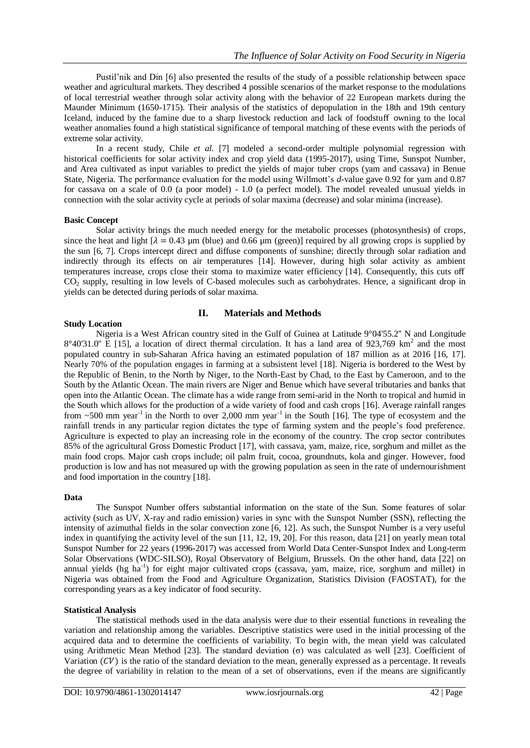Pustil'nik and Din [6] also presented the results of the study of a possible relationship between space weather and agricultural markets. They described 4 possible scenarios of the market response to the modulations of local terrestrial weather through solar activity along with the behavior of 22 European markets during the Maunder Minimum (1650-1715). Their analysis of the statistics of depopulation in the 18th and 19th century Iceland, induced by the famine due to a sharp livestock reduction and lack of foodstuff owning to the local weather anomalies found a high statistical significance of temporal matching of these events with the periods of extreme solar activity.

In a recent study, Chile *et al.* [7] modeled a second-order multiple polynomial regression with historical coefficients for solar activity index and crop yield data (1995-2017), using Time, Sunspot Number, and Area cultivated as input variables to predict the yields of major tuber crops (yam and cassava) in Benue State, Nigeria. The performance evaluation for the model using Willmott's *d*-value gave 0.92 for yam and 0.87 for cassava on a scale of 0.0 (a poor model) - 1.0 (a perfect model). The model revealed unusual yields in connection with the solar activity cycle at periods of solar maxima (decrease) and solar minima (increase).

## **Basic Concept**

Solar activity brings the much needed energy for the metabolic processes (photosynthesis) of crops, since the heat and light  $[\lambda = 0.43 \text{ µm}$  (blue) and 0.66 µm (green)] required by all growing crops is supplied by the sun [6, 7]. Crops intercept direct and diffuse components of sunshine; directly through solar radiation and indirectly through its effects on air temperatures [14]. However, during high solar activity as ambient temperatures increase, crops close their stoma to maximize water efficiency [14]. Consequently, this cuts off CO<sup>2</sup> supply, resulting in low levels of C-based molecules such as carbohydrates. Hence, a significant drop in yields can be detected during periods of solar maxima.

# **II. Materials and Methods**

### **Study Location**

Nigeria is a West African country sited in the Gulf of Guinea at Latitude 9°04'55.2'' N and Longitude  $8^{\circ}40'31.0''$  E [15], a location of direct thermal circulation. It has a land area of 923,769 km<sup>2</sup> and the most populated country in sub-Saharan Africa having an estimated population of 187 million as at 2016 [16, 17]. Nearly 70% of the population engages in farming at a subsistent level [18]. Nigeria is bordered to the West by the Republic of Benin, to the North by Niger, to the North-East by Chad, to the East by Cameroon, and to the South by the Atlantic Ocean. The main rivers are Niger and Benue which have several tributaries and banks that open into the Atlantic Ocean. The climate has a wide range from semi-arid in the North to tropical and humid in the South which allows for the production of a wide variety of food and cash crops [16]. Average rainfall ranges from  $\sim$  500 mm year<sup>-1</sup> in the North to over 2,000 mm year<sup>-1</sup> in the South [16]. The type of ecosystem and the rainfall trends in any particular region dictates the type of farming system and the people's food preference. Agriculture is expected to play an increasing role in the economy of the country. The crop sector contributes 85% of the agricultural Gross Domestic Product [17], with cassava, yam, maize, rice, sorghum and millet as the main food crops. Major cash crops include; oil palm fruit, cocoa, groundnuts, kola and ginger. However, food production is low and has not measured up with the growing population as seen in the rate of undernourishment and food importation in the country [18].

## **Data**

The Sunspot Number offers substantial information on the state of the Sun. Some features of solar activity (such as UV, X-ray and radio emission) varies in sync with the Sunspot Number (SSN), reflecting the intensity of azimuthal fields in the solar convection zone [6, 12]. As such, the Sunspot Number is a very useful index in quantifying the activity level of the sun [11, 12, 19, 20]. For this reason, data [21] on yearly mean total Sunspot Number for 22 years (1996-2017) was accessed from World Data Center-Sunspot Index and Long-term Solar Observations (WDC-SILSO), Royal Observatory of Belgium, Brussels. On the other hand, data [22] on annual yields (hg ha<sup>-1</sup>) for eight major cultivated crops (cassava, yam, maize, rice, sorghum and millet) in Nigeria was obtained from the Food and Agriculture Organization, Statistics Division (FAOSTAT), for the corresponding years as a key indicator of food security.

## **Statistical Analysis**

The statistical methods used in the data analysis were due to their essential functions in revealing the variation and relationship among the variables. Descriptive statistics were used in the initial processing of the acquired data and to determine the coefficients of variability. To begin with, the mean yield was calculated using Arithmetic Mean Method [23]. The standard deviation (σ) was calculated as well [23]. Coefficient of Variation  $(CV)$  is the ratio of the standard deviation to the mean, generally expressed as a percentage. It reveals the degree of variability in relation to the mean of a set of observations, even if the means are significantly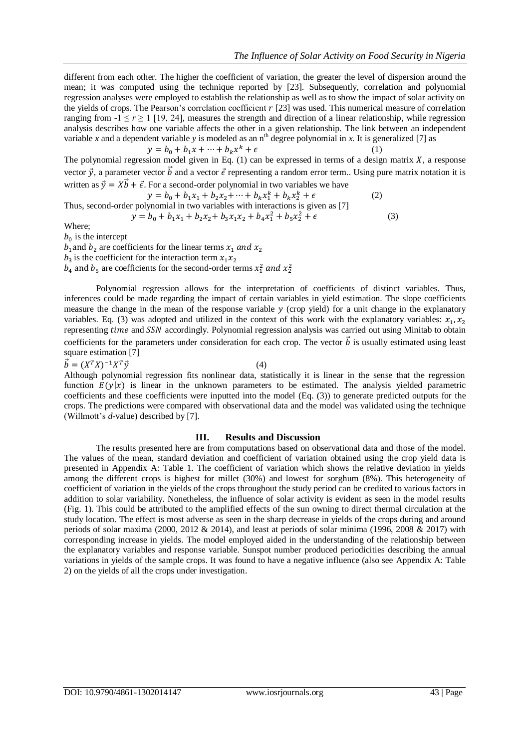different from each other. The higher the coefficient of variation, the greater the level of dispersion around the mean; it was computed using the technique reported by [23]. Subsequently, correlation and polynomial regression analyses were employed to establish the relationship as well as to show the impact of solar activity on the yields of crops. The Pearson's correlation coefficient  $r$  [23] was used. This numerical measure of correlation ranging from  $-1 \le r \ge 1$  [19, 24], measures the strength and direction of a linear relationship, while regression analysis describes how one variable affects the other in a given relationship. The link between an independent variable *x* and a dependent variable *y* is modeled as an  $n<sup>th</sup>$  degree polynomial in *x*. It is generalized [7] as

 $y = b_0 + b_1 x + \dots + b_k x^k + \epsilon$  (1) The polynomial regression model given in Eq.  $(1)$  can be expressed in terms of a design matrix  $X$ , a response vector  $\vec{v}$ , a parameter vector  $\vec{b}$  and a vector  $\vec{\epsilon}$  representing a random error term. Using pure matrix notation it is written as  $\vec{y} = X\vec{b} + \vec{\epsilon}$ . For a second-order polynomial in two variables we have

 $y = b_0 + b_1 x_1 + b_2 x_2 + \dots + b_k x_1^k + b_k x_2^k + \epsilon$  (2)

Thus, second-order polynomial in two variables with interactions is given as [7]

 $y = b_0 + b_1 x_1 + b_2 x_2 + b_3 x_1 x_2 + b_4 x_1^2 + b_5 x_2^2 + \epsilon$  (3)

Where;

 $b_0$  is the intercept

 $b_1$  and  $b_2$  are coefficients for the linear terms  $x_1$  and  $x_2$ 

 $b_3$  is the coefficient for the interaction term x

 $b_4$  and  $b_5$  are coefficients for the second-order terms  $x_1^2$  and  $x_2^2$ 

Polynomial regression allows for the interpretation of coefficients of distinct variables. Thus, inferences could be made regarding the impact of certain variables in yield estimation. The slope coefficients measure the change in the mean of the response variable  $y$  (crop yield) for a unit change in the explanatory variables. Eq. (3) was adopted and utilized in the context of this work with the explanatory variables:  $x_1$ , representing time and SSN accordingly. Polynomial regression analysis was carried out using Minitab to obtain coefficients for the parameters under consideration for each crop. The vector  $\vec{b}$  is usually estimated using least square estimation [7]

$$
\vec{b} = (X^T X)^{-1} X^T \vec{y} \tag{4}
$$

Although polynomial regression fits nonlinear data, statistically it is linear in the sense that the regression function  $E(y|x)$  is linear in the unknown parameters to be estimated. The analysis yielded parametric coefficients and these coefficients were inputted into the model (Eq. (3)) to generate predicted outputs for the crops. The predictions were compared with observational data and the model was validated using the technique (Willmott's *d-*value) described by [7].

# **III. Results and Discussion**

The results presented here are from computations based on observational data and those of the model. The values of the mean, standard deviation and coefficient of variation obtained using the crop yield data is presented in Appendix A: Table 1. The coefficient of variation which shows the relative deviation in yields among the different crops is highest for millet (30%) and lowest for sorghum (8%). This heterogeneity of coefficient of variation in the yields of the crops throughout the study period can be credited to various factors in addition to solar variability. Nonetheless, the influence of solar activity is evident as seen in the model results (Fig. 1). This could be attributed to the amplified effects of the sun owning to direct thermal circulation at the study location. The effect is most adverse as seen in the sharp decrease in yields of the crops during and around periods of solar maxima (2000, 2012 & 2014), and least at periods of solar minima (1996, 2008 & 2017) with corresponding increase in yields. The model employed aided in the understanding of the relationship between the explanatory variables and response variable. Sunspot number produced periodicities describing the annual variations in yields of the sample crops. It was found to have a negative influence (also see Appendix A: Table 2) on the yields of all the crops under investigation.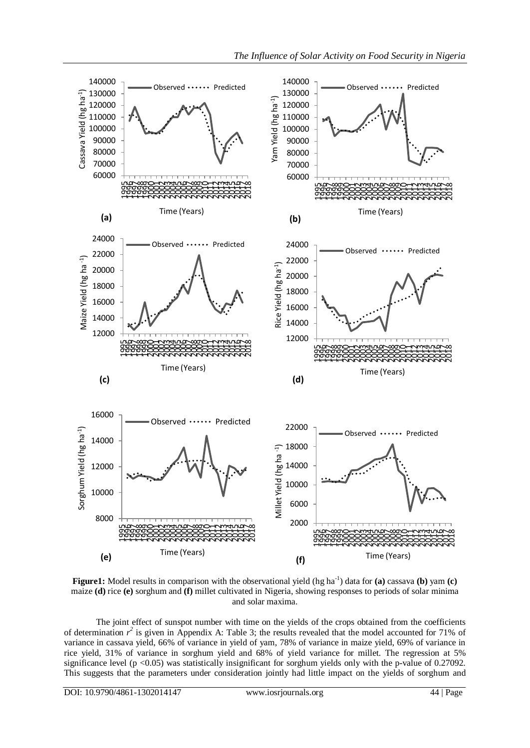

**Figure1:** Model results in comparison with the observational yield (hg ha<sup>-1</sup>) data for (a) cassava (b) yam (c) maize **(d)** rice **(e)** sorghum and **(f)** millet cultivated in Nigeria, showing responses to periods of solar minima and solar maxima.

The joint effect of sunspot number with time on the yields of the crops obtained from the coefficients of determination  $r^2$  is given in Appendix A: Table 3; the results revealed that the model accounted for 71% of variance in cassava yield, 66% of variance in yield of yam, 78% of variance in maize yield, 69% of variance in rice yield, 31% of variance in sorghum yield and 68% of yield variance for millet. The regression at 5% significance level ( $p < 0.05$ ) was statistically insignificant for sorghum yields only with the p-value of 0.27092. This suggests that the parameters under consideration jointly had little impact on the yields of sorghum and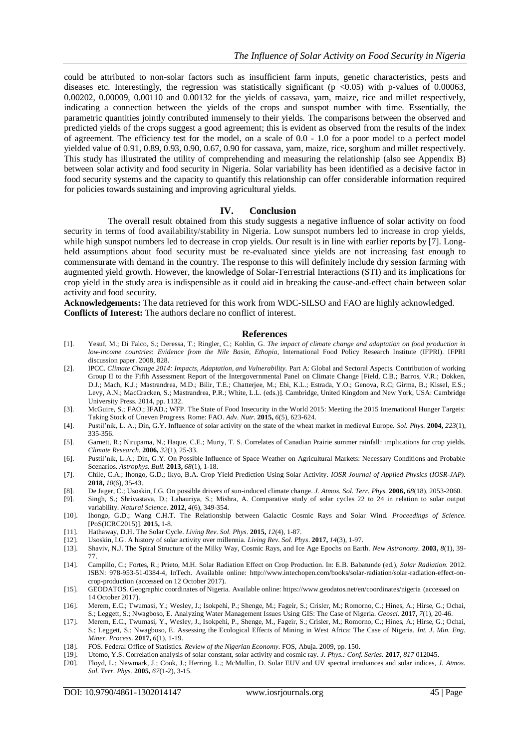could be attributed to non-solar factors such as insufficient farm inputs, genetic characteristics, pests and diseases etc. Interestingly, the regression was statistically significant ( $p$  <0.05) with p-values of 0.00063, 0.00202, 0.00009, 0.00110 and 0.00132 for the yields of cassava, yam, maize, rice and millet respectively, indicating a connection between the yields of the crops and sunspot number with time. Essentially, the parametric quantities jointly contributed immensely to their yields. The comparisons between the observed and predicted yields of the crops suggest a good agreement; this is evident as observed from the results of the index of agreement. The efficiency test for the model, on a scale of 0.0 - 1.0 for a poor model to a perfect model yielded value of 0.91, 0.89, 0.93, 0.90, 0.67, 0.90 for cassava, yam, maize, rice, sorghum and millet respectively. This study has illustrated the utility of comprehending and measuring the relationship (also see Appendix B) between solar activity and food security in Nigeria. Solar variability has been identified as a decisive factor in food security systems and the capacity to quantify this relationship can offer considerable information required for policies towards sustaining and improving agricultural yields.

## **IV. Conclusion**

The overall result obtained from this study suggests a negative influence of solar activity on food security in terms of food availability/stability in Nigeria. Low sunspot numbers led to increase in crop yields, while high sunspot numbers led to decrease in crop yields. Our result is in line with earlier reports by [7]. Longheld assumptions about food security must be re-evaluated since yields are not increasing fast enough to commensurate with demand in the country. The response to this will definitely include dry session farming with augmented yield growth. However, the knowledge of Solar-Terrestrial Interactions (STI) and its implications for crop yield in the study area is indispensible as it could aid in breaking the cause-and-effect chain between solar activity and food security.

**Acknowledgements:** The data retrieved for this work from WDC-SILSO and FAO are highly acknowledged. **Conflicts of Interest:** The authors declare no conflict of interest.

### **References**

- [1]. Yesuf, M.; Di Falco, S.; Deressa, T.; Ringler, C.; Kohlin, G. *The impact of climate change and adaptation on food production in low-income countries*: *Evidence from the Nile Basin, Ethopia,* International Food Policy Research Institute (IFPRI). IFPRI discussion paper. 2008, 828.
- [2]. IPCC. *Climate Change 2014: Impacts, Adaptation, and Vulnerability. Part A: Global and Sectoral Aspects. Contribution of working* Group II to the Fifth Assessment Report of the Intergovernmental Panel on Climate Change [Field, C.B.; Barros, V.R.; Dokken, D.J.; Mach, K.J.; Mastrandrea, M.D.; Bilir, T.E.; Chatterjee, M.; Ebi, K.L.; Estrada, Y.O.; Genova, R.C; Girma, B.; Kissel, E.S.; Levy, A.N.; MacCracken, S.; Mastrandrea, P.R.; White, L.L. (eds.)]. Cambridge, United Kingdom and New York, USA: Cambridge University Press. 2014, pp. 1132.
- [3]. McGuire, S.; FAO.; IFAD.; WFP. The State of Food Insecurity in the World 2015: Meeting the 2015 International Hunger Targets: Taking Stock of Uneven Progress. Rome: FAO. *Adv. Nutr.* **2015,** *6*(5), 623-624.
- [4]. Pustil'nik, L. A.; Din, G.Y. Influence of solar activity on the state of the wheat market in medieval Europe. *Sol. Phys.* **2004,** *223*(1), 335-356.
- [5]. Garnett, R.; Nirupama, N.; Haque, C.E.; Murty, T. S. Correlates of Canadian Prairie summer rainfall: implications for crop yields. *Climate Research.* **2006,** *32*(1), 25-33.
- [6]. Pustil'nik, L.A.; Din, G.Y. On Possible Influence of Space Weather on Agricultural Markets: Necessary Conditions and Probable Scenarios. *Astrophys. Bull.* **2013,** *68*(1), 1-18.
- [7]. Chile, C.A.; Ihongo, G.D.; Ikyo, B.A. Crop Yield Prediction Using Solar Activity. *IOSR Journal of Applied Physics* (*IOSR-JAP).* **2018,** *10*(6), 35-43.
- [8]. De Jager, C.; Usoskin, I.G. On possible drivers of sun-induced climate change. *J. Atmos. Sol. Terr. Phys.* **2006,** *68*(18), 2053-2060.
- [9]. Singh, S.; Shrivastava, D.; Lahauriya, S.; Mishra, A. Comparative study of solar cycles 22 to 24 in relation to solar output variability. *Natural Science*. **2012,** *4*(6), 349-354.
- [10]. Ihongo, G.D.; Wang C.H.T. The Relationship between Galactic Cosmic Rays and Solar Wind. *Proceedings of Science.* [PoS(ICRC2015)]. **2015,** 1-8.
- [11]. Hathaway, D.H. The Solar Cycle. *Living Rev. Sol. Phys*. **2015,** *12*(4), 1-87.
- [12]. Usoskin, I.G. A history of solar activity over millennia. *Living Rev. Sol. Phys*. **2017,** *14*(3), 1-97.
- [13]. Shaviv, N.J. The Spiral Structure of the Milky Way, Cosmic Rays, and Ice Age Epochs on Earth. *New Astronomy.* **2003,** *8*(1), 39- 77.
- [14]. Campillo, C.; Fortes, R.; Prieto, M.H. Solar Radiation Effect on Crop Production. In: E.B. Babatunde (ed.), *Solar Radiation.* 2012. ISBN: 978-953-51-0384-4, InTech. Available online: [http://www.intechopen.com/books/solar-radiation/solar-radiation-effect-on](http://www.intechopen.com/books/solar-radiation/solar-radiation-effect-on-crop-production)[crop-production](http://www.intechopen.com/books/solar-radiation/solar-radiation-effect-on-crop-production) (accessed on 12 October 2017).
- [15]. GEODATOS. Geographic coordinates of Nigeria. Available online[: https://www.geodatos.net/en/coordinates/nigeria](https://www.geodatos.net/en/coordinates/nigeria) (accessed on 14 October 2017).
- [16]. Merem, E.C.; Twumasi, Y.; Wesley, J.; Isokpehi, P.; Shenge, M.; Fageir, S.; Crisler, M.; Romorno, C.; Hines, A.; Hirse, G.; Ochai, S.; Leggett, S.; Nwagboso, E. Analyzing Water Management Issues Using GIS: The Case of Nigeria. *Geosci.* **2017,** *7*(1), 20-46.
- [17]. Merem, E.C., Twumasi, Y., Wesley, J., Isokpehi, P., Shenge, M., Fageir, S.; Crisler, M.; Romorno, C.; Hines, A.; Hirse, G.; Ochai, S.; Leggett, S.; Nwagboso, E. Assessing the Ecological Effects of Mining in West Africa: The Case of Nigeria. *Int. J. Min. Eng. Miner. Process.* **2017,** *6*(1), 1-19.
- [18]. FOS. Federal Office of Statistics. *Review of the Nigerian Economy.* FOS, Abuja. 2009, pp. 150.
- [19]. Utomo, Y.S. Correlation analysis of solar constant, solar activity and cosmic ray. *J. Phys.: Conf. Series.* **2017***, 817* 012045.
- [20]. Floyd, L.; Newmark, J.; Cook, J.; Herring, L.; McMullin, D. Solar EUV and UV spectral irradiances and solar indices, *J. Atmos. Sol. Terr. Phys.* **2005,** *67*(1-2), 3-15.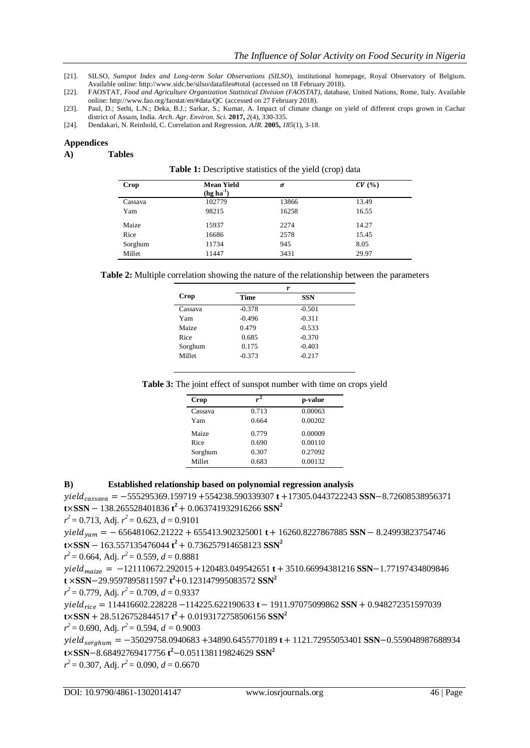- [21]. SILSO, *Sunspot Index and Long-term Solar Observations (SILSO*), institutional homepage, Royal Observatory of Belgium. Available online[: http://www.sidc.be/silso/datafiles#total](http://www.sidc.be/silso/datafiles#total) (accessed on 18 February 2018).
- [22]. FAOSTAT, *Food and Agriculture Organization Statistical Division (FAOSTAT),* database, United Nations, Rome, Italy. Available online: <http://www.fao.org/faostat/en/#data/QC> (accessed on 27 February 2018).
- [23]. Paul, D.; Sethi, L.N.; Deka, B.J.; Sarkar, S.; Kumar, A. Impact of climate change on yield of different crops grown in Cachar district of Assam, India. *Arch. Agr. Environ. Sci.* **2017,** *2*(4), 330-335.
- [24]. Dendakari, N. Reinhold, C. Correlation and Regression. *AJR.* **2005,** *185*(1), 3-18.

## **Appendices**

## **A) Tables**

Table 1: Descriptive statistics of the yield (crop) data

| Crop    | <b>Mean Yield</b><br>$(hg ha-1)$ | σ     | CV(%) |
|---------|----------------------------------|-------|-------|
| Cassava | 102779                           | 13866 | 13.49 |
| Yam     | 98215                            | 16258 | 16.55 |
| Maize   | 15937                            | 2274  | 14.27 |
| Rice    | 16686                            | 2578  | 15.45 |
| Sorghum | 11734                            | 945   | 8.05  |
| Millet  | 11447                            | 3431  | 29.97 |

| Table 2: Multiple correlation showing the nature of the relationship between the parameters |  |
|---------------------------------------------------------------------------------------------|--|
|---------------------------------------------------------------------------------------------|--|

|          | r          |  |
|----------|------------|--|
| Time     | <b>SSN</b> |  |
| $-0.378$ | $-0.501$   |  |
| $-0.496$ | $-0.311$   |  |
| 0.479    | $-0.533$   |  |
| 0.685    | $-0.370$   |  |
| 0.175    | $-0.403$   |  |
| $-0.373$ | $-0.217$   |  |
|          |            |  |

| Table 3: The joint effect of sunspot number with time on crops yield |  |  |  |  |  |  |
|----------------------------------------------------------------------|--|--|--|--|--|--|
|----------------------------------------------------------------------|--|--|--|--|--|--|

| Crop    | $r^2$ | p-value |
|---------|-------|---------|
| Cassava | 0.713 | 0.00063 |
| Yam     | 0.664 | 0.00202 |
| Maize   | 0.779 | 0.00009 |
| Rice    | 0.690 | 0.00110 |
| Sorghum | 0.307 | 0.27092 |
| Millet  | 0.683 | 0.00132 |

# **B) Established relationship based on polynomial regression analysis**

 $yield_{cassawa} = -555295369.159719 + 554238.590339307$ **t** +17305.0443722243 **SSN**-8.72608538956371  $t \times$ **SSN** - 138.265528401836  $t^2$  + 0.063741932916266 **SSN<sup>2</sup>** 

 $r^2 = 0.713$ , Adj.  $r^2 = 0.623$ ,  $d = 0.9101$ 

 $yield_{vam} = -656481062.21222 + 655413.902325001 t + 16260.8227867885$  SSN - 8.24993823754746  $t \times$ **SSN** - 163.557135476044  $t^2$  + 0.736257914658123 **SSN<sup>2</sup>** 

 $r^2 = 0.664$ , Adj.  $r^2 = 0.559$ ,  $d = 0.8881$ 

 $yield_{maize} = -121110672.292015 + 120483.049542651 t + 3510.66994381216$  SSN-1.77197434809846 **t SSN** 29.9597895811597 **t <sup>2</sup>** 0.123147995083572 **SSN<sup>2</sup>**

$$
r^2 = 0.779
$$
, Adj.  $r^2 = 0.709$ ,  $d = 0.9337$ 

 $yield_{rice} = 114416602.228228 - 114225.622190633$ **t** - 1911.97075099862 **SSN** + 0.948272351597039  $t \times$ **SSN** + 28.5126752844517  $t^2$  + 0.0193172758506156 **SSN<sup>2</sup>** 

*r 2* = 0.690, Adj*. r 2* = 0.594, *d =* 0.9003

 $yield_{sorghum} = -35029758.0940683 + 34890.6455770189 t + 1121.72955053401$  SSN-0.559048987688934 **t**  $\times$ **SSN**-8.68492769417756 **t**<sup>2</sup>-0.051138119824629 **SSN**<sup>2</sup>

 $r^2 = 0.307$ , Adj.  $r^2 = 0.090$ ,  $d = 0.6670$